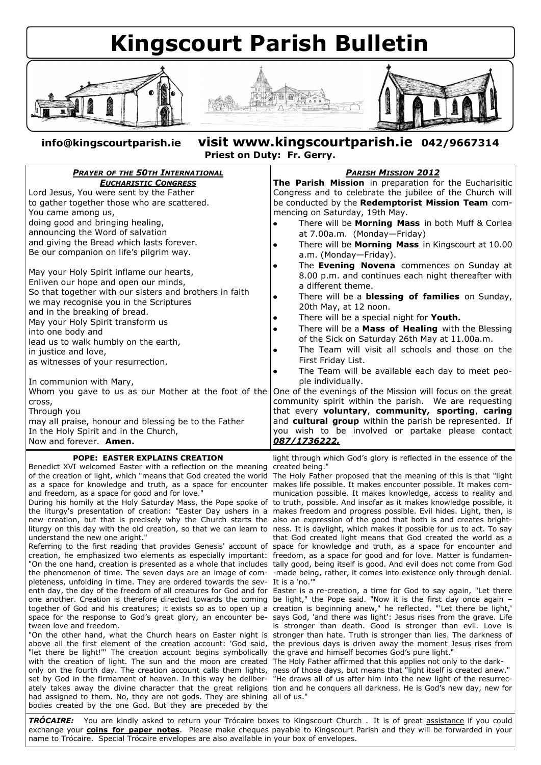## **Kingscourt Parish Bulletin**





**info@kingscourtparish.ie visit www.kingscourtparish.ie 042/9667314 Priest on Duty: Fr. Gerry.**

| <b>PRAYER OF THE 50TH INTERNATIONAL</b>                 | <b>PARISH MISSION 2012</b>                                         |
|---------------------------------------------------------|--------------------------------------------------------------------|
| <b>EUCHARISTIC CONGRESS</b>                             | The Parish Mission in preparation for the Eucharisitic             |
| Lord Jesus, You were sent by the Father                 | Congress and to celebrate the jubilee of the Church will           |
| to gather together those who are scattered.             | be conducted by the Redemptorist Mission Team com-                 |
| You came among us,                                      | mencing on Saturday, 19th May.                                     |
| doing good and bringing healing,                        | There will be Morning Mass in both Muff & Corlea                   |
| announcing the Word of salvation                        | at 7.00a.m. (Monday-Friday)                                        |
| and giving the Bread which lasts forever.               | There will be Morning Mass in Kingscourt at 10.00                  |
| Be our companion on life's pilgrim way.                 | a.m. (Monday-Friday).                                              |
|                                                         | The Evening Novena commences on Sunday at                          |
| May your Holy Spirit inflame our hearts,                | 8.00 p.m. and continues each night thereafter with                 |
| Enliven our hope and open our minds,                    | a different theme.                                                 |
| So that together with our sisters and brothers in faith | There will be a <b>blessing of families</b> on Sunday,             |
| we may recognise you in the Scriptures                  | 20th May, at 12 noon.                                              |
| and in the breaking of bread.                           | There will be a special night for Youth.                           |
| May your Holy Spirit transform us                       | There will be a Mass of Healing with the Blessing                  |
| into one body and                                       | of the Sick on Saturday 26th May at 11.00a.m.                      |
| lead us to walk humbly on the earth,                    | The Team will visit all schools and those on the                   |
| in justice and love,                                    | First Friday List.                                                 |
| as witnesses of your resurrection.                      | The Team will be available each day to meet peo-                   |
| In communion with Mary,                                 | ple individually.                                                  |
| Whom you gave to us as our Mother at the foot of the    | One of the evenings of the Mission will focus on the great         |
| cross,                                                  | community spirit within the parish. We are requesting              |
| Through you                                             | that every voluntary, community, sporting, caring                  |
| may all praise, honour and blessing be to the Father    | and cultural group within the parish be represented. If            |
| In the Holy Spirit and in the Church,                   | you wish to be involved or partake please contact                  |
| Now and forever. <b>Amen.</b>                           | 087/1736222.                                                       |
| DODE. EACTED EVDI ATNC CDEATION                         | light through which Cod's glam; is reflected in the essence of the |

## **POPE: EASTER EXPLAINS CREATION**

Benedict XVI welcomed Easter with a reflection on the meaning created being." as a space for knowledge and truth, as a space for encounter makes life possible. It makes encounter possible. It makes comand freedom, as a space for good and for love."

new creation, but that is precisely why the Church starts the also an expression of the good that both is and creates brightunderstand the new one aright."

creation, he emphasized two elements as especially important: "On the one hand, creation is presented as a whole that includes tally good, being itself is good. And evil does not come from God the phenomenon of time. The seven days are an image of completeness, unfolding in time. They are ordered towards the sevone another. Creation is therefore directed towards the coming be light," the Pope said. "Now it is the first day once again – space for the response to God's great glory, an encounter between love and freedom.

"let there be light!"' The creation account begins symbolically the grave and himself becomes God's pure light." with the creation of light. The sun and the moon are created The Holy Father affirmed that this applies not only to the darkonly on the fourth day. The creation account calls them lights, ness of those days, but means that "light itself is created anew." set by God in the firmament of heaven. In this way he deliber-"He draws all of us after him into the new light of the resurrechad assigned to them. No, they are not gods. They are shining all of us."bodies created by the one God. But they are preceded by the

light through which God's glory is reflected in the essence of the

of the creation of light, which "means that God created the world The Holy Father proposed that the meaning of this is that "light During his homily at the Holy Saturday Mass, the Pope spoke of to truth, possible. And insofar as it makes knowledge possible, it the liturgy's presentation of creation: "Easter Day ushers in a makes freedom and progress possible. Evil hides. Light, then, is liturgy on this day with the old creation, so that we can learn to ness. It is daylight, which makes it possible for us to act. To say Referring to the first reading that provides Genesis' account of space for knowledge and truth, as a space for encounter and munication possible. It makes knowledge, access to reality and that God created light means that God created the world as a freedom, as a space for good and for love. Matter is fundamen--made being, rather, it comes into existence only through denial. It is a 'no.'"

enth day, the day of the freedom of all creatures for God and for Easter is a re-creation, a time for God to say again, "Let there together of God and his creatures; it exists so as to open up a creation is beginning anew," he reflected. "'Let there be light,' "On the other hand, what the Church hears on Easter night is stronger than hate. Truth is stronger than lies. The darkness of above all the first element of the creation account: 'God said, the previous days is driven away the moment Jesus rises from says God, 'and there was light': Jesus rises from the grave. Life is stronger than death. Good is stronger than evil. Love is

ately takes away the divine character that the great religions tion and he conquers all darkness. He is God's new day, new for

*TRÓCAIRE:* You are kindly asked to return your Trócaire boxes to Kingscourt Church . It is of great assistance if you could exchange your **coins for paper notes**. Please make cheques payable to Kingscourt Parish and they will be forwarded in your name to Trócaire. Special Trócaire envelopes are also available in your box of envelopes.